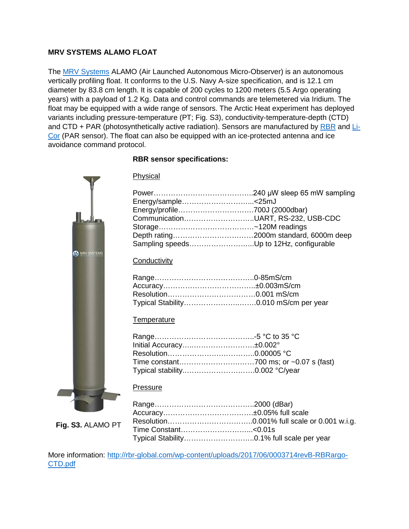## **MRV SYSTEMS ALAMO FLOAT**

The [MRV Systems](http://mrvsys.com/) ALAMO (Air Launched Autonomous Micro-Observer) is an autonomous vertically profiling float. It conforms to the U.S. Navy A-size specification, and is 12.1 cm diameter by 83.8 cm length. It is capable of 200 cycles to 1200 meters (5.5 Argo operating years) with a payload of 1.2 Kg. Data and control commands are telemetered via Iridium. The float may be equipped with a wide range of sensors. The Arctic Heat experiment has deployed variants including pressure-temperature (PT; Fig. S3), conductivity-temperature-depth (CTD) and CTD + PAR (photosynthetically active radiation). Sensors are manufactured by [RBR](https://rbr-global.com/) and [Li-](https://www.licor.com/env/)[Cor](https://www.licor.com/env/) (PAR sensor). The float can also be equipped with an ice-protected antenna and ice avoidance command protocol.

# **RBR sensor specifications:**

| <b>B</b> MRV SYSTEMS |  |
|----------------------|--|
|                      |  |
|                      |  |
|                      |  |
|                      |  |

**Fig. S3.** ALAMO PT

ſ

| Physical |  |  |
|----------|--|--|
|          |  |  |

| Energy/sample<25mJ                      |  |
|-----------------------------------------|--|
|                                         |  |
| CommunicationUART, RS-232, USB-CDC      |  |
|                                         |  |
|                                         |  |
| Sampling speedsUp to 12Hz, configurable |  |
|                                         |  |

## **Conductivity**

# **Temperature**

| Initial Accuracy±0.002°        |  |
|--------------------------------|--|
|                                |  |
|                                |  |
| Typical stability0.002 °C/year |  |

#### Pressure

| Time Constant<0.01s |                                           |
|---------------------|-------------------------------------------|
|                     | Typical Stability0.1% full scale per year |

More information: [http://rbr-global.com/wp-content/uploads/2017/06/0003714revB-RBRargo-](http://rbr-global.com/wp-content/uploads/2017/06/0003714revB-RBRargo-CTD.pdf)[CTD.pdf](http://rbr-global.com/wp-content/uploads/2017/06/0003714revB-RBRargo-CTD.pdf)